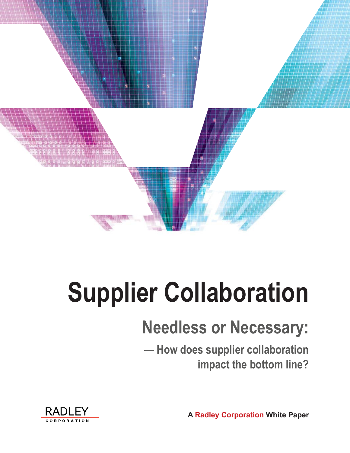

# **Supplier Collaboration**

# **Needless or Necessary:**

**— How does supplier collaboration impact the bottom line?**

**A Radley Corporation White Paper**

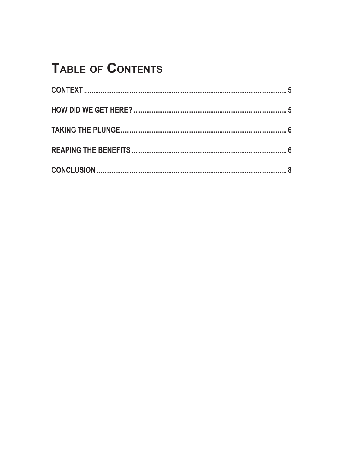## TABLE OF CONTENTS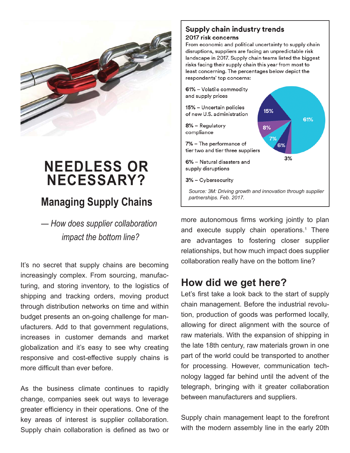

# **NEEDLESS OR NECESSARY?**

## **Managing Supply Chains**

*— How does supplier collaboration impact the bottom line?*

It's no secret that supply chains are becoming increasingly complex. From sourcing, manufacturing, and storing inventory, to the logistics of shipping and tracking orders, moving product through distribution networks on time and within budget presents an on-going challenge for manufacturers. Add to that government regulations, increases in customer demands and market globalization and it's easy to see why creating responsive and cost-effective supply chains is more difficult than ever before.

As the business climate continues to rapidly change, companies seek out ways to leverage greater efficiency in their operations. One of the key areas of interest is supplier collaboration. Supply chain collaboration is defined as two or

#### **Supply chain industry trends** 2017 risk concerns

From economic and political uncertainty to supply chain disruptions, suppliers are facing an unpredictable risk landscape in 2017. Supply chain teams listed the biggest risks facing their supply chain this year from most to least concerning. The percentages below depict the respondents' top concerns:



more autonomous firms working jointly to plan and execute supply chain operations.<sup>1</sup> There are advantages to fostering closer supplier relationships, but how much impact does supplier collaboration really have on the bottom line?

## **How did we get here?**

Let's first take a look back to the start of supply chain management. Before the industrial revolution, production of goods was performed locally, allowing for direct alignment with the source of raw materials. With the expansion of shipping in the late 18th century, raw materials grown in one part of the world could be transported to another for processing. However, communication technology lagged far behind until the advent of the telegraph, bringing with it greater collaboration between manufacturers and suppliers.

Supply chain management leapt to the forefront with the modern assembly line in the early 20th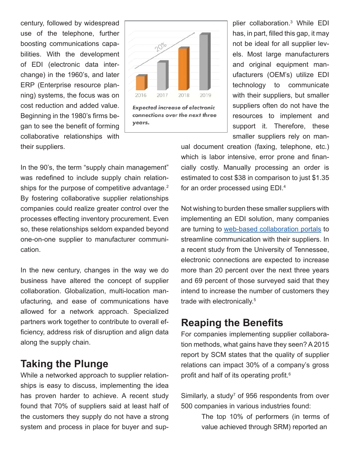century, followed by widespread use of the telephone, further boosting communications capabilities. With the development of EDI (electronic data interchange) in the 1960's, and later ERP (Enterprise resource planning) systems, the focus was on cost reduction and added value. Beginning in the 1980's firms began to see the benefit of forming collaborative relationships with their suppliers.



plier collaboration.3 While EDI has, in part, filled this gap, it may not be ideal for all supplier levels. Most large manufacturers and original equipment manufacturers (OEM's) utilize EDI technology to communicate with their suppliers, but smaller suppliers often do not have the resources to implement and support it. Therefore, these smaller suppliers rely on man-

In the 90's, the term "supply chain management" was redefined to include supply chain relationships for the purpose of competitive advantage.<sup>2</sup> By fostering collaborative supplier relationships companies could realize greater control over the processes effecting inventory procurement. Even so, these relationships seldom expanded beyond one-on-one supplier to manufacturer communication.

In the new century, changes in the way we do business have altered the concept of supplier collaboration. Globalization, multi-location manufacturing, and ease of communications have allowed for a network approach. Specialized partners work together to contribute to overall efficiency, address risk of disruption and align data along the supply chain.

#### **Taking the Plunge**

While a networked approach to supplier relationships is easy to discuss, implementing the idea has proven harder to achieve. A recent study found that 70% of suppliers said at least half of the customers they supply do not have a strong system and process in place for buyer and supual document creation (faxing, telephone, etc.) which is labor intensive, error prone and financially costly. Manually processing an order is estimated to cost \$38 in comparison to just \$1.35 for an order processed using EDI.4

Not wishing to burden these smaller suppliers with implementing an EDI solution, many companies are turning to web-based collaboration portals to streamline communication with their suppliers. In a recent study from the University of Tennessee, electronic connections are expected to increase more than 20 percent over the next three years and 69 percent of those surveyed said that they intend to increase the number of customers they trade with electronically.5

#### **Reaping the Benefits**

For companies implementing supplier collaboration methods, what gains have they seen? A 2015 report by SCM states that the quality of supplier relations can impact 30% of a company's gross profit and half of its operating profit.<sup>6</sup>

Similarly, a study<sup>7</sup> of 956 respondents from over 500 companies in various industries found:

> The top 10% of performers (in terms of value achieved through SRM) reported an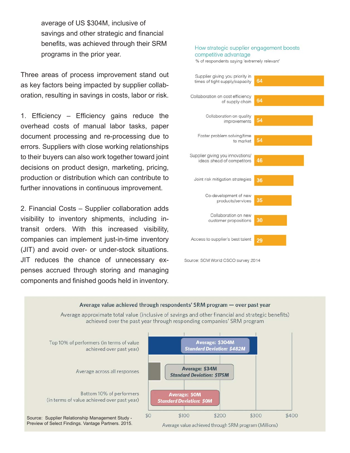average of US \$304M, inclusive of savings and other strategic and financial benefits, was achieved through their SRM programs in the prior year.

Three areas of process improvement stand out as key factors being impacted by supplier collaboration, resulting in savings in costs, labor or risk.

1. Efficiency  $-$  Efficiency gains reduce the overhead costs of manual labor tasks, paper document processing and re-processing due to errors. Suppliers with close working relationships to their buyers can also work together toward joint decisions on product design, marketing, pricing, production or distribution which can contribute to further innovations in continuous improvement.

2. Financial Costs – Supplier collaboration adds visibility to inventory shipments, including intransit orders. With this increased visibility, companies can implement just-in-time inventory (JIT) and avoid over- or under-stock situations. JIT reduces the chance of unnecessary expenses accrued through storing and managing components and finished goods held in inventory.

#### How strategic supplier engagement boosts competitive advantage

% of respondents saying 'extremely relevant'



Source: SCM World CSCO survey 2014

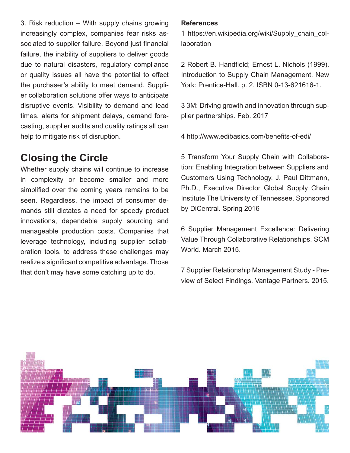3. Risk reduction – With supply chains growing increasingly complex, companies fear risks associated to supplier failure. Beyond just financial failure, the inability of suppliers to deliver goods due to natural disasters, regulatory compliance or quality issues all have the potential to effect the purchaser's ability to meet demand. Supplier collaboration solutions offer ways to anticipate disruptive events. Visibility to demand and lead times, alerts for shipment delays, demand forecasting, supplier audits and quality ratings all can help to mitigate risk of disruption.

### **Closing the Circle**

Whether supply chains will continue to increase in complexity or become smaller and more simplified over the coming years remains to be seen. Regardless, the impact of consumer demands still dictates a need for speedy product innovations, dependable supply sourcing and manageable production costs. Companies that leverage technology, including supplier collaboration tools, to address these challenges may realize a significant competitive advantage. Those that don't may have some catching up to do.

#### **References**

1 https://en.wikipedia.org/wiki/Supply\_chain\_collaboration

2 Robert B. Handfield; Ernest L. Nichols (1999). Introduction to Supply Chain Management. New York: Prentice-Hall. p. 2. ISBN 0-13-621616-1.

3 3M: Driving growth and innovation through supplier partnerships. Feb. 2017

4 http://www.edibasics.com/benefits-of-edi/

5 Transform Your Supply Chain with Collaboration: Enabling Integration between Suppliers and Customers Using Technology. J. Paul Dittmann, Ph.D., Executive Director Global Supply Chain Institute The University of Tennessee. Sponsored by DiCentral. Spring 2016

6 Supplier Management Excellence: Delivering Value Through Collaborative Relationships. SCM World. March 2015.

7 Supplier Relationship Management Study - Preview of Select Findings. Vantage Partners. 2015.